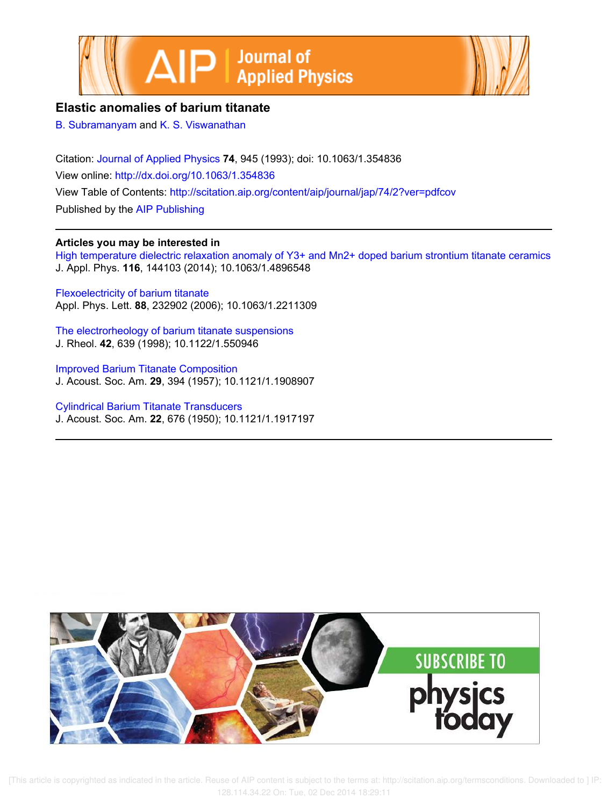



# **Elastic anomalies of barium titanate**

B. Subramanyam and K. S. Viswanathan

Citation: Journal of Applied Physics **74**, 945 (1993); doi: 10.1063/1.354836 View online: http://dx.doi.org/10.1063/1.354836 View Table of Contents: http://scitation.aip.org/content/aip/journal/jap/74/2?ver=pdfcov Published by the AIP Publishing

# **Articles you may be interested in**

High temperature dielectric relaxation anomaly of Y3+ and Mn2+ doped barium strontium titanate ceramics J. Appl. Phys. **116**, 144103 (2014); 10.1063/1.4896548

Flexoelectricity of barium titanate Appl. Phys. Lett. **88**, 232902 (2006); 10.1063/1.2211309

The electrorheology of barium titanate suspensions J. Rheol. **42**, 639 (1998); 10.1122/1.550946

Improved Barium Titanate Composition J. Acoust. Soc. Am. **29**, 394 (1957); 10.1121/1.1908907

Cylindrical Barium Titanate Transducers J. Acoust. Soc. Am. **22**, 676 (1950); 10.1121/1.1917197



 [This article is copyrighted as indicated in the article. Reuse of AIP content is subject to the terms at: http://scitation.aip.org/termsconditions. Downloaded to ] IP: 128.114.34.22 On: Tue, 02 Dec 2014 18:29:11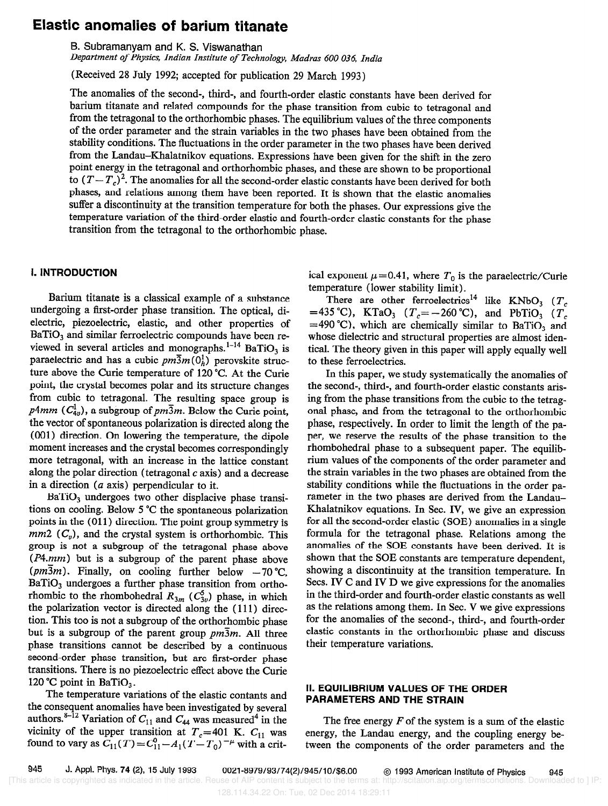# Elastic anomalies of barium titanate

B. Subramanyam and K. S. Viswanathan

Department of Physics, Indian Institute of Technology, Madras 600 036, India

(Received 28 July 1992; accepted for publication 29 March 1993)

The anomalies of the second-, third-, and fourth-order elastic constants have been derived for barium titanate and related compounds for the phase transition from cubic to tetragonal and from the tetragonal to the orthorhombic phases. The equilibrium values of the three components of the order parameter and the strain variables in the two phases have been obtained from the stability conditions. The fluctuations in the order parameter in the two phases have been derived from the Landau-Khalatnikov equations. Expressions have been given for the shift in the zero point energy in the tetragonal and orthorhombic phases, and these are shown to be proportional to  $(T-T_c)^2$ . The anomalies for all the second-order elastic constants have been derived for both phases, and relations among them have been reported. It is shown that the elastic anomalies suffer a discontinuity at the transition temperature for both the phases. Our expressions give the temperature variation of the third-order elastic and fourth-order elastic constants for the phase transition from the tetragonal to the orthorhombic phase.

## I. INTRODUCTION

Barium titanate is a classical example of a substance undergoing a first-order phase transition. The optical, dielectric, piezoelectric, elastic, and other properties of  $BaTiO<sub>3</sub>$  and similar ferroelectric compounds have been reviewed in several articles and monographs.<sup>1-14</sup> BaTiO<sub>3</sub> is paraelectric and has a cubic  $pm\overline{3}m(0_h^1)$  perovskite structure above the Curie temperature of 120 "C. At the Curie point, the crystal becomes polar and its structure changes from cubic to tetragonal. The resulting space group is  $p4mm$  ( $C_{4v}^{1}$ ), a subgroup of  $pm\overline{3}m$ . Below the Curie point, the vector of spontaneous polarization is directed along the (001) direction. On lowering the temperature, the dipole moment increases and the crystal becomes correspondingly more tetragonal, with an increase in the lattice constant along the polar direction (tetragonal c axis) and a decrease in a direction (a axis) perpendicular to it.

BaTiO, undergoes two other displacive phase transitions on cooling. Below 5 "C the spontaneous polarization points in the (011) direction. The point group symmetry is  $mm2$  ( $C_v$ ), and the crystal system is orthorhombic. This group is not a subgroup of the tetragonal phase above (P4.mm) but is a subgroup of the parent phase above ( $pm\overline{3}m$ ). Finally, on cooling further below  $-70$  °C,  $BaTiO<sub>3</sub>$  undergoes a further phase transition from orthorhombic to the rhombohedral  $R_{3m}$  ( $C_{3v}$ ) phase, in which the polarization vector is directed along the (111) direction. This too is not a subgroup of the orthorhombic phase but is a subgroup of the parent group  $pm\overline{3}m$ . All three phase transitions cannot be described by a continuous second-order phase transition, but are first-order phase transitions. There is no piezoelectric effect above the Curie 120 °C point in BaTiO<sub>3</sub>.

The temperature variations of the elastic contants and the consequent anomalies have been investigated by several authors.<sup>8-12</sup> Variation of  $C_{11}$  and  $C_{44}$  was measured<sup>4</sup> in the vicinity of the upper transition at  $T_c=401$  K.  $C_{11}$  was found to vary as  $C_{11}(T) = C_{11}^{\gamma} - A_1(T - T_0)^{-\mu}$  with a critical exponent  $\mu$  = 0.41, where  $T_0$  is the paraelectric/Curie temperature (lower stability limit).

There are other ferroelectrics<sup>14</sup> like KNbO<sub>3</sub> ( $T_c$ ) =435 °C), KTaO<sub>3</sub> ( $T_c$ =-260 °C), and PbTiO<sub>3</sub> ( $T_c$  $=490 °C$ , which are chemically similar to BaTiO<sub>3</sub> and whose dielectric and structural properties are almost identical. The theory given in this paper will apply equally well to these ferroelectrics.

In this paper, we study systematically the anomalies of the second-, third-, and fourth-order elastic constants arising from the phase transitions from the cubic to the tetragonal phase, and from the tetragonal to the orthorhombic phase, respectively. In order to limit the length of the paper, we reserve the results of the phase transition to the rhombohedral phase to a subsequent paper. The equilibrium values of the components of the order parameter and the strain variables in the two phases are obtained from the stability conditions while the fluctuations in the order parameter in the two phases are derived from the Landau-Khalatnikov equations. In Sec. IV, we give an expression for all the second-order elastic (SOE) anomalies in a single formula for the tetragonal phase. Relations among the anomalies of the SOE constants have been derived. It is shown that the SOE constants are temperature dependent, showing a discontinuity at the transition temperature. In Secs. IV C and IV D we give expressions for the anomalies in the third-order and fourth-order elastic constants as well as the relations among them. In Sec. V we give expressions for the anomalies of the second-, third-, and fourth-order elastic constants in the orthorhombic phase and discuss their temperature variations.

# II. EQUILIBRIUM VALUES OF THE ORDER PARAMETERS AND THE STRAIN

The free energy  $F$  of the system is a sum of the elastic energy, the Landau energy, and the coupling energy between the components of the order parameters and the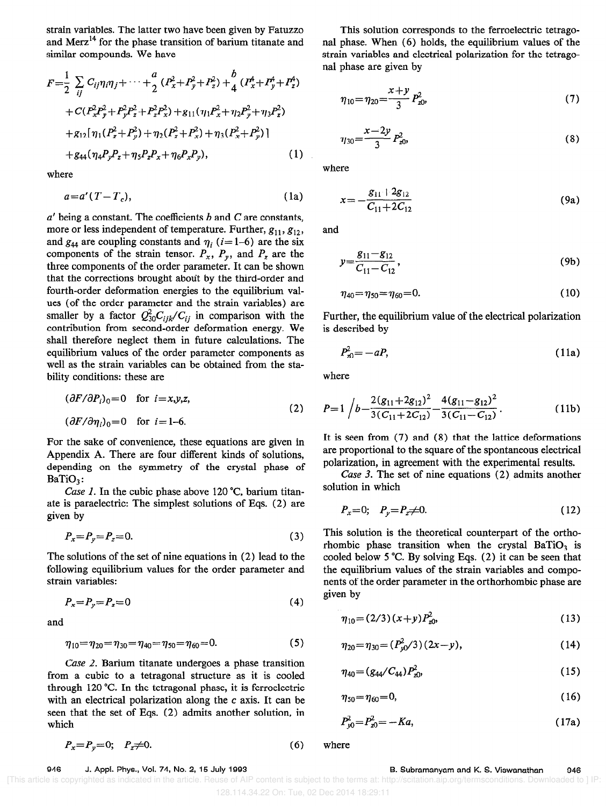strain variables. The latter two have been given by Fatuzzo and Merz<sup>14</sup> for the phase transition of barium titanate and similar compounds. We have

$$
F = \frac{1}{2} \sum_{ij} C_{ij} \eta_i \eta_j + \dots + \frac{a}{2} (P_x^2 + P_y^2 + P_z^2) + \frac{b}{4} (P_x^4 + P_y^4 + P_z^4) + C (P_x^2 P_y^2 + P_y^2 P_z^2 + P_z^2 P_x^2) + g_{11} (\eta_1 P_x^2 + \eta_2 P_y^2 + \eta_3 P_z^2) + g_{12} [\eta_1 (P_z^2 + P_y^2) + \eta_2 (P_z^2 + P_x^2) + \eta_3 (P_x^2 + P_y^2)] + g_{44} (\eta_4 P_y P_z + \eta_5 P_z P_x + \eta_6 P_x P_y),
$$
 (1)

where

$$
a = a'(T - T_c), \tag{1a}
$$

 $a'$  being a constant. The coefficients  $b$  and  $C$  are constants, more or less independent of temperature. Further,  $g_{11}, g_{12}$ , and  $g_{44}$  are coupling constants and  $\eta_i$  (*i*=1-6) are the six components of the strain tensor.  $P_x$ ,  $P_y$ , and  $P_z$  are the three components of the order parameter. It can be shown that the corrections brought about by the third-order and fourth-order deformation energies to the equilibrium values (of the order parameter and the strain variables) are smaller by a factor  $Q_{30}^2C_{ijk}/C_{ij}$  in comparison with the contribution from second-order deformation energy. We shall therefore neglect them in future calculations. The equilibrium values of the order parameter components as well as the strain variables can be obtained from the stability conditions: these are

$$
(\partial F/\partial P_i)_0 = 0 \quad \text{for } i = x, y, z,
$$
  

$$
(\partial F/\partial \eta_i)_0 = 0 \quad \text{for } i = 1-6.
$$
 (2)

For the sake of convenience, these equations are given in Appendix A. There are four different kinds of solutions, depending on the symmetry of the crystal phase of  $BaTiO<sub>3</sub>$ :

Case 1. In the cubic phase above 120  $^{\circ}$ C, barium titanate is paraelectric: The simplest solutions of Eqs. (2) are given by

$$
P_x = P_y = P_z = 0.\tag{3}
$$

The solutions of the set of nine equations in (2) lead to the following equilibrium values for the order parameter and strain variables:

$$
P_x = P_y = P_z = 0 \tag{4}
$$

and

$$
\eta_{10} = \eta_{20} = \eta_{30} = \eta_{40} = \eta_{50} = \eta_{60} = 0. \tag{5}
$$

Case 2. Barium titanate undergoes a phase transition from a cubic to a tetragonal structure as it is cooled through 120 "C. In the tetragonal phase, it is ferroelectric with an electrical polarization along the c axis. It can be seen that the set of Eqs. (2) admits another solution, in which

$$
P_x = P_y = 0; \quad P_z \neq 0. \tag{6} \text{where}
$$

This solution corresponds to the ferroelectric tetragonal phase. When (6) holds, the equilibrium values of the strain variables and electrical polarization for the tetragonal phase are given by

$$
\eta_{10} = \eta_{20} = \frac{x+y}{3} P_{z0}^2,\tag{7}
$$

$$
\eta_{30} = \frac{x - 2y}{3} P_{z0}^2,\tag{8}
$$

where

$$
x = -\frac{g_{11} + 2g_{12}}{C_{11} + 2C_{12}} \tag{9a}
$$

and

$$
y = \frac{g_{11} - g_{12}}{C_{11} - C_{12}},
$$
\n(9b)

$$
\eta_{40} = \eta_{50} = \eta_{60} = 0. \tag{10}
$$

Further, the equilibrium value of the electrical polarization is described by

$$
P_{x0}^2 = -aP,\tag{11a}
$$

where

$$
P=1\left/b-\frac{2(g_{11}+2g_{12})^2}{3(C_{11}+2C_{12})}-\frac{4(g_{11}-g_{12})^2}{3(C_{11}-C_{12})}\right).
$$
 (11b)

It is seen from (7) and (8) that the lattice deformations are proportional to the square of the spontaneous electrical polarization, in agreement with the experimental results.

Case 3. The set of nine equations (2) admits another solution in which

$$
P_x = 0; \quad P_y = P_z \neq 0. \tag{12}
$$

This solution is the theoretical counterpart of the orthorhombic phase transition when the crystal BaTiO<sub>3</sub> is cooled below 5 "C. By solving Eqs. (2) it can be seen that the equilibrium values of the strain variables and components of the order parameter in the orthorhombic phase are given by

$$
\eta_{10} = (2/3)(x+y)P_{z0}^2,\tag{13}
$$

$$
\eta_{20} = \eta_{30} = (P_{y0}^2/3)(2x - y),\tag{14}
$$

$$
\eta_{40} = (g_{44}/C_{44})P_{20}^2,\tag{15}
$$

$$
\eta_{50} = \eta_{60} = 0,\tag{16}
$$

$$
P_{y0}^2 = P_{z0}^2 = -Ka,\tag{17a}
$$

#### 946 J. Appl. Phys., Vol. 74, No. 2, 15 July 1993 B. Subramanyam and K. S. Viswanathan 946

 <sup>[</sup>This article is copyrighted as indicated in the article. Reuse of AIP content is subject to the terms at: http://scitation.aip.org/termsconditions. Downloaded to ] IP: 128.114.34.22 On: Tue, 02 Dec 2014 18:29:11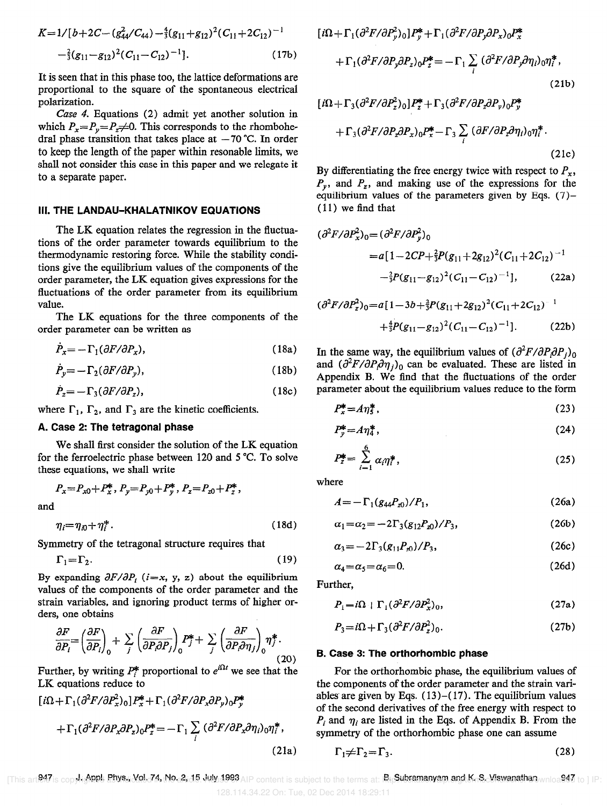$$
K=1/[b+2C-(g_{44}^2/C_{44})-\frac{4}{3}(g_{11}+g_{12})^2(C_{11}+2C_{12})^{-1}
$$
  

$$
-\frac{2}{3}(g_{11}-g_{12})^2(C_{11}-C_{12})^{-1}].
$$
 (17b)

It is seen that in this phase too, the lattice deformations are proportional to the square of the spontaneous electrical polarization.

Case 4. Equations (2) admit yet another solution in which  $P_x = P_y = P_z \neq 0$ . This corresponds to the rhombohedral phase transition that takes place at  $-70$  °C. In order to keep the length of the paper within resonable limits, we shall not consider this case in this paper and we relegate it to a separate paper.

#### III. THE LANDAU-KHALATNIKOV EQUATIONS

The LK equation relates the regression in the fluctuations of the order parameter towards equilibrium to the thermodynamic restoring force. While the stability conditions give the equilibrium values of the components of the order parameter, the LK equation gives expressions for the fluctuations of the order parameter from its equilibrium value.

The LK equations for the three components of the order parameter can be written as

$$
P_x = -\Gamma_1(\partial F/\partial P_x),\tag{18a}
$$

$$
\dot{P}_y = -\Gamma_2(\partial F/\partial P_y),\tag{18b}
$$

$$
\dot{P}_z = -\Gamma_3(\partial F/\partial P_z),\tag{18c}
$$

where  $\Gamma_1$ ,  $\Gamma_2$ , and  $\Gamma_3$  are the kinetic coefficients.

#### A. Case 2: The tetragonal phase

We shall first consider the solution of the LK equation for the ferroelectric phase between 120 and 5 "C. To solve these equations, we shall write

$$
P_x = P_{x0} + P_x^*, P_y = P_{y0} + P_y^*, P_z = P_{z0} + P_z^*,
$$
  
and  

$$
\eta_i = \eta_{i0} + \eta_i^*.
$$
 (18d)

Symmetry of the tetragonal structure requires that

$$
\Gamma_1 = \Gamma_2. \tag{19}
$$

By expanding  $\partial F/\partial P_i$  (*i*=x, y, z) about the equilibrium values of the components of the order parameter and the strain variables, and ignoring product terms of higher orders, one obtains

$$
\frac{\partial F}{\partial P_i} = \left(\frac{\partial F}{\partial P_i}\right)_0 + \sum_j \left(\frac{\partial F}{\partial P_i \partial P_j}\right)_0 P_j^* + \sum_j \left(\frac{\partial F}{\partial P_i \partial \eta_j}\right)_0 \eta_j^*.
$$
\n(20)

Further, by writing  $P_i^*$  proportional to  $e^{i\lambda H}$  we see that the LK equations reduce to

$$
\begin{aligned} [\,i\Omega + \Gamma_1(\partial^2 F/\partial P_x^2)_0] P_x^* + \Gamma_1(\partial^2 F/\partial P_x \partial P_y)_0 P_y^* \\ + \Gamma_1(\partial^2 F/\partial P_x \partial P_z)_0 P_z^* &= -\Gamma_1 \sum_i \left(\partial^2 F/\partial P_x \partial \eta_i\right)_0 \eta_i^*, \end{aligned} \tag{21a}
$$

 $[i\Omega + \Gamma_1(\partial^2 F/\partial P_\nu^2)_0]P_\nu^* + \Gamma_1(\partial^2 F/\partial P_\nu \partial P_x)_0 P_x^*$  $+\Gamma_1(\partial^2F/\partial P_y\partial P_z)\nonumber\\ {}_0P_z^*=-\Gamma_1\sum_i\,(\partial^2F/\partial P_y\partial \eta_i)\nonumber\\ {}_0\eta_i^*\,,$  $(21b)$  $[i\Omega + \Gamma_3(\partial^2 F/\partial P_z^2)_0]P_z^* + \Gamma_3(\partial^2 F/\partial P_z \partial P_v)_0 P_v^*$ 

$$
+\Gamma_3(\partial^2 F/\partial P_z \partial P_x)_0 P_x^* - \Gamma_3 \sum_i (\partial F/\partial P_z \partial \eta_i)_0 \eta_i^*.
$$
\n(21c)

By differentiating the free energy twice with respect to  $P_x$ ,  $P_{\nu}$ , and  $P_{\nu}$ , and making use of the expressions for the equilibrium values of the parameters given by Eqs. (7)- (11) we find that

$$
(\partial^2 F/\partial P_x^2)_0 = (\partial^2 F/\partial P_y^2)_0
$$
  
=  $a[1 - 2CP + \frac{2}{3}P(g_{11} + 2g_{12})^2(C_{11} + 2C_{12})^{-1}$   
 $- \frac{2}{3}P(g_{11} - g_{12})^2(C_{11} - C_{12})^{-1}],$  (22a)

$$
(\partial^2 F/\partial P_z^2)_0 = a[1 - 3b + \frac{2}{3}P(g_{11} + 2g_{12})^2(C_{11} + 2C_{12})^{-1} + \frac{4}{3}P(g_{11} - g_{12})^2(C_{11} - C_{12})^{-1}].
$$
 (22b)

In the same way, the equilibrium values of  $\left(\frac{\partial^2 F}{\partial P_i \partial P_j}\right)_0$ and  $(\partial^2 F/\partial P_i \partial \eta_i)_0$  can be evaluated. These are listed in Appendix B. We find that the fluctuations of the order parameter about the equilibrium values reduce to the form

$$
P_x^* = A \eta_5^*,\tag{23}
$$

$$
P_y^* = A \eta_4^*,\tag{24}
$$

$$
P_z^* = \sum_{i=1}^6 \alpha_i \eta_i^*,\tag{25}
$$

where

$$
A = -\Gamma_1 (g_{44} P_{z0}) / P_1, \tag{26a}
$$

$$
\alpha_1 = \alpha_2 = -2\Gamma_3(g_{12}P_{20})/P_3,\tag{26b}
$$

$$
\alpha_3 = -2\Gamma_3(g_{11}P_{20})/P_3,\tag{26c}
$$

$$
\alpha_4 = \alpha_5 = \alpha_6 = 0. \tag{26d}
$$

Further,

$$
P_1 = i\Omega + \Gamma_1 (\partial^2 F / \partial P_x^2)_0, \tag{27a}
$$

$$
P_3 = i\Omega + \Gamma_3 (\partial^2 F / \partial P_z^2)_0. \tag{27b}
$$

#### B. Case 3: The orthorhombic phase

For the orthorhombic phase, the equilibrium values of the components of the order parameter and the strain variables are given by Eqs.  $(13)$ – $(17)$ . The equilibrium values of the second derivatives of the free energy with respect to  $P_i$  and  $\eta_i$  are listed in the Eqs. of Appendix B. From the symmetry of the orthorhombic phase one can assume

$$
\Gamma_1 \neq \Gamma_2 = \Gamma_3. \tag{28}
$$

This an 247 is copyh@**PPL Phys. VoL74, No.2, 15. July 199**3 AIP content is subject to the terms at: Ru**Subramanyam and K. S. Viswanathan** wnloa**947** to 1 IP: 128.114.34.22 On: Tue, 02 Dec 2014 18:29:11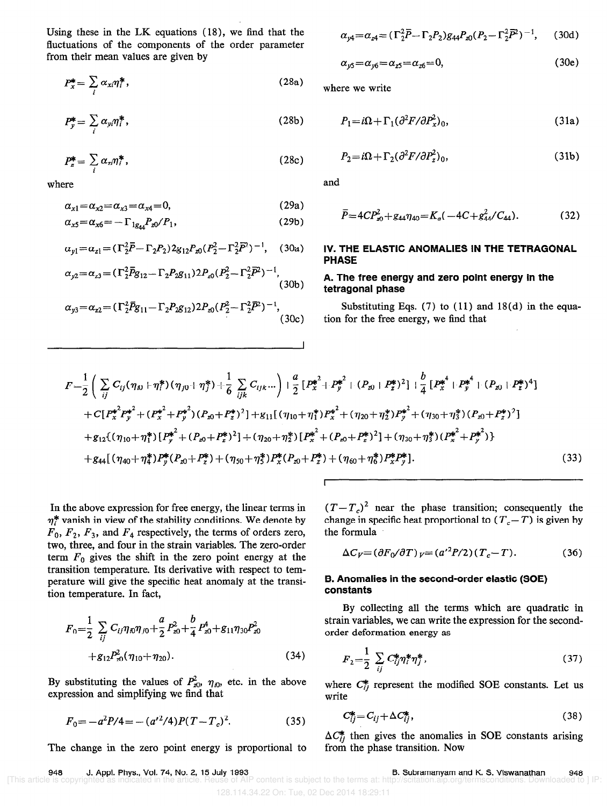Using these in the LK equations (18), we find that the fluctuations of the components of the order parameter from their mean values are given by

$$
P_x^* = \sum_i \alpha_{xi} \eta_i^*,\tag{28a}
$$

$$
P_y^* = \sum_i \alpha_{yi} \eta_i^*,\tag{28b}
$$

$$
P_z^* = \sum_i \alpha_{zi} \eta_i^*, \qquad (28c)
$$

where

$$
\alpha_{x1} = \alpha_{x2} = \alpha_{x3} = \alpha_{x4} = 0, \tag{29a}
$$

$$
\alpha_{x5} = \alpha_{x6} = -\Gamma_{1g_{44}} P_{x0} / P_1,\tag{29b}
$$

$$
\alpha_{y1} = \alpha_{z1} = (\Gamma_2^2 \overline{P} - \Gamma_2 P_2) 2g_{12} P_{x0} (P_2^2 - \Gamma_2^2 \overline{P}^2)^{-1}, \quad (30a)
$$

$$
\alpha_{y2} = \alpha_{z3} = (\Gamma_2^2 \overline{P} g_{12} - \Gamma_2 P_2 g_{11}) 2 P_{x0} (P_2^2 - \Gamma_2^2 \overline{P}^2)^{-1},
$$
\n(30b)

$$
\alpha_{y3} = \alpha_{z2} = (\Gamma_2^2 \bar{P} g_{11} - \Gamma_2 P_{2} g_{12}) 2 P_{z0} (P_2^2 - \Gamma_2^2 \bar{P}^2)^{-1},
$$
\n(30c)

$$
\alpha_{y4} = \alpha_{z4} = (\Gamma_2^2 \overline{P} - \Gamma_2 P_2) g_{44} P_{z0} (P_2 - \Gamma_2^2 \overline{P}^2)^{-1}, \quad (30d)
$$

$$
\alpha_{y5} = \alpha_{y6} = \alpha_{z5} = \alpha_{z6} = 0, \tag{30e}
$$

where we write

$$
P_1 = i\Omega + \Gamma_1(\partial^2 F/\partial P_x^2)_0, \tag{31a}
$$

$$
P_2 = i\Omega + \Gamma_2(\partial^2 F/\partial P_z^2)_0, \tag{31b}
$$

and

$$
\overline{P} = 4CP_{x0}^2 + g_{44}\eta_{40} = K_a(-4C + g_{44}^2/C_{44}).
$$
\n(32)

## IV. THE ELASTIC ANOMALIES IN THE TETRAGONAL PHASE

# A. The free energy and zero point energy in the tetragonal phase

Substituting Eqs.  $(7)$  to  $(11)$  and  $18(d)$  in the equation for the free energy, we fmd that

$$
F = \frac{1}{2} \left( \sum_{ij} C_{ij} (\eta_{i0} + \eta_{i}^{*}) (\eta_{j0} + \eta_{j}^{*}) + \frac{1}{6} \sum_{ijk} C_{ijk} ... \right) + \frac{a}{2} \left[ P_{x}^{*^{2}} + P_{y}^{*^{2}} + (P_{x0} + P_{z}^{*})^{2} \right] + \frac{b}{4} \left[ P_{x}^{*^{4}} + P_{y}^{*^{4}} + (P_{x0} + P_{z}^{*})^{4} \right] + C \left[ P_{x}^{*^{2}} P_{y}^{*^{2}} + (P_{x}^{*^{2}} + P_{y}^{*^{2}}) (P_{x0} + P_{z}^{*})^{2} \right] + g_{11} \left[ (\eta_{10} + \eta_{1}^{*}) P_{x}^{*^{2}} + (\eta_{20} + \eta_{2}^{*}) P_{y}^{*^{2}} + (\eta_{30} + \eta_{3}^{*}) (P_{x0} + P_{z}^{*})^{2} \right] + g_{12} \left[ (\eta_{10} + \eta_{1}^{*}) \left[ P_{y}^{*^{2}} + (P_{x0} + P_{z}^{*})^{2} \right] + (\eta_{20} + \eta_{2}^{*}) \left[ P_{x}^{*^{2}} + (P_{x0} + P_{z}^{*})^{2} \right] + (\eta_{30} + \eta_{3}^{*}) (P_{x}^{*^{2}} + P_{y}^{*^{2}}) \right] + g_{44} \left[ (\eta_{40} + \eta_{4}^{*}) P_{y}^{*} (P_{x0} + P_{z}^{*}) + (\eta_{50} + \eta_{3}^{*}) P_{x}^{*} (P_{x0} + P_{z}^{*}) + (\eta_{60} + \eta_{6}^{*}) P_{x}^{*} P_{y}^{*} \right].
$$
\n(33)

I

In the above expression for free energy, the linear terms in  $\eta_i^*$  vanish in view of the stability conditions. We denote by  $F_0$ ,  $F_2$ ,  $F_3$ , and  $F_4$  respectively, the terms of orders zero, two, three, and four in the strain variables. The zero-order term  $F_0$  gives the shift in the zero point energy at the transition temperature. Its derivative with respect to temperature will give the specific heat anomaly at the transition temperature. In fact,

$$
F_0 = \frac{1}{2} \sum_{ij} C_{ij} \eta_{i0} \eta_{j0} + \frac{a}{2} P_{z0}^2 + \frac{b}{4} P_{z0}^4 + g_{11} \eta_{30} P_{z0}^2 + g_{12} P_{z0}^2 (\eta_{10} + \eta_{20}).
$$
\n(34)

By substituting the values of  $P_{z0}^2$ ,  $\eta_{i0}$ , etc. in the above expression and simplifying we find that

$$
F_0 = -a^2 P/4 = -(a'^2/4) P(T - T_c)^2.
$$
 (35)

The change in the zero point energy is proportional to

 $(T - T_c)^2$  near the phase transition; consequently the change in specific heat proportional to  $(T_c-T)$  is given by the formula

$$
\Delta C_V = (\partial F_0 / \partial T)_V = (a'^2 P / 2)(T_c - T). \tag{36}
$$

### B. Anomalies in the second-order elastic (SOE) constants

By collecting all the terms which are quadratic in strain variables, we can write the expression for the secondorder deformation energy as

$$
F_2 = \frac{1}{2} \sum_{ij} C_{ij}^* \eta_i^* \eta_j^*,\tag{37}
$$

where  $C_{ii}^*$  represent the modified SOE constants. Let us write

$$
C_{ij}^* = C_{ij} + \Delta C_{ij}^*,\tag{38}
$$

 $\Delta C_{ij}^*$  then gives the anomalies in SOE constants arising from the phase transition. Now

948 J. Appl. Phys., Vol. 74, No. 2, 15 July 1993<br>This article is copyrighted as indicated in the article. Reuse of Al

B. Subramanyam and K. S. Viswanathan 948 of AIP content is subject to the terms at: http://

128.114.34.22 On: Tue, 02 Dec 2014 18:29:11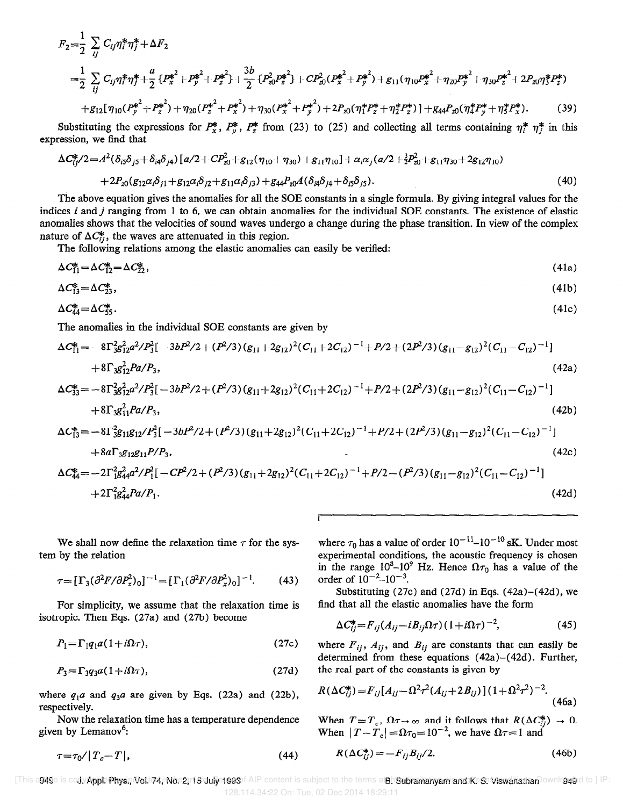$$
F_{2} = \frac{1}{2} \sum_{ij} C_{ij} \eta_{i}^{*} \eta_{j}^{*} + \Delta F_{2}
$$
  
\n
$$
= \frac{1}{2} \sum_{ij} C_{ij} \eta_{i}^{*} \eta_{j}^{*} + \frac{a}{2} \{P_{x}^{*^{2}} + P_{y}^{*^{2}} + P_{z}^{*^{2}}\} + \frac{3b}{2} \{P_{z0}^{2} P_{z}^{*^{2}}\} + C P_{z0}^{2} (P_{x}^{*^{2}} + P_{y}^{*^{2}}) + g_{11} (\eta_{10} P_{x}^{*^{2}} + \eta_{20} P_{y}^{*^{2}} + \eta_{30} P_{z}^{*^{2}} + 2P_{z0} \eta_{j}^{*} P_{z}^{*})
$$
  
\n
$$
+ g_{12} [\eta_{10} (P_{y}^{*^{2}} + P_{z}^{*^{2}}) + \eta_{20} (P_{z}^{*^{2}} + P_{x}^{*^{2}}) + \eta_{30} (P_{x}^{*^{2}} + P_{y}^{*^{2}}) + 2P_{z0} (\eta_{1}^{*} P_{z}^{*} + \eta_{2}^{*} P_{z}^{*})] + g_{44} P_{z0} (\eta_{4}^{*} P_{y}^{*} + \eta_{5}^{*} P_{x}^{*}). \tag{39}
$$

Substituting the expressions for  $P_x^*$ ,  $P_y^*$ ,  $P_z^*$  from (23) to (25) and collecting all terms containing  $\eta_i^*$   $\eta_j^*$  in this expression, we tind that

$$
\Delta C_{ij}^*/2 = A^2(\delta_{i5}\delta_{j5} + \delta_{i4}\delta_{j4})[a/2 + CP_{i0}^2 + g_{12}(\eta_{10} + \eta_{30}) + g_{11}\eta_{10}] + \alpha_i\alpha_j(a/2 + \frac{3}{2}P_{i0}^2 + g_{11}\eta_{30} + 2g_{12}\eta_{10})
$$
  
+ 
$$
2P_{i0}(g_{12}\alpha_i\delta_{j1} + g_{12}\alpha_i\delta_{j2} + g_{11}\alpha_i\delta_{j3}) + g_{44}P_{i0}A(\delta_{i4}\delta_{j4} + \delta_{i5}\delta_{j5}).
$$
 (40)

The above equation gives the anomalies for all the SOE constants in a single formula. By giving integral values for the indices  $i$  and  $j$  ranging from 1 to 6, we can obtain anomalies for the individual SOE constants. The existence of elastic anomalies shows that the velocities of sound waves undergo a change during the phase transition. In view of the complex nature of  $\Delta C_{ii}^*$ , the waves are attenuated in this region.

The following relations among the elastic anomalies can easily be verified:

$$
\Delta C_{11}^* = \Delta C_{12}^* = \Delta C_{22}^*,\tag{41a}
$$

$$
\Delta C_{13}^* = \Delta C_{23}^*,\tag{41b}
$$

$$
\Delta C_{44}^* = \Delta C_{55}^* \tag{41c}
$$

The anomalies in the individual SOE constants are given by

$$
\Delta C_{11}^{*} = -8\Gamma_{3812}^{2}a^{2}/P_{3}^{2}[-3bP^{2}/2 + (P^{2}/3)(g_{11}+2g_{12})^{2}(C_{11}+2C_{12})^{-1}+P/2+(2P^{2}/3)(g_{11}-g_{12})^{2}(C_{11}-C_{12})^{-1}]
$$
  
+8\Gamma\_{3812}^{2}Pa/P\_{3}, (42a)  

$$
\Delta C_{33}^{*} = -8\Gamma_{3812}^{2}a^{2}/P_{3}^{2}[-3bP^{2}/2 + (P^{2}/3)(g_{11}+2g_{12})^{2}(C_{11}+2C_{12})^{-1}+P/2+(2P^{2}/3)(g_{11}-g_{12})^{2}(C_{11}-C_{12})^{-1}]
$$
  
+8\Gamma\_{3811}^{2}Pa/P\_{3}, (42b)

$$
\Delta C_{13}^* = -8\Gamma_{3}^2 g_{11} g_{12} / P_3^2 [-3bP^2/2 + (P^2/3)(g_{11} + 2g_{12})^2 (C_{11} + 2C_{12})^{-1} + P/2 + (2P^2/3)(g_{11} - g_{12})^2 (C_{11} - C_{12})^{-1}]
$$

$$
+8a\Gamma_3 g_{12}g_{11}P/P_3,
$$
\n
$$
\Delta C_{44}^* = -2\Gamma_1^2 g_{44}^2 a^2/P_1^2 [-CP^2/2 + (P^2/3)(g_{11} + 2g_{12})^2 (C_{11} + 2C_{12})^{-1} + P/2 - (P^2/3)(g_{11} - g_{12})^2 (C_{11} - C_{12})^{-1}]
$$
\n
$$
+2\Gamma_1^2 g_{44}^2 Pa/P_1.
$$
\n(42d)

We shall now define the relaxation time  $\tau$  for the system by the relation

$$
\tau = \left[\Gamma_3(\partial^2 F/\partial P_z^2)_0\right]^{-1} = \left[\Gamma_1(\partial^2 F/\partial P_x^2)_0\right]^{-1}.\tag{43}
$$

For simplicity, we assume that the relaxation time is isotropic. Then Eqs. (27a) and (27b) become

$$
P_1 = \Gamma_1 q_1 a (1 + i\Omega \tau), \tag{27c}
$$

$$
P_3 = \Gamma_3 q_3 a (1 + i\Omega \tau), \tag{27d}
$$

where  $q_1a$  and  $q_3a$  are given by Eqs. (22a) and (22b), respectively.

Now the relaxation time has a temperature dependence given by Lemanov<sup>6</sup>:

$$
\tau = \tau_0 / |T_c - T|,\tag{44}
$$

where  $\tau_0$  has a value of order  $10^{-11}$ – $10^{-10}$  sK. Under most experimental conditions, the acoustic frequency is chosen in the range 10<sup>8</sup>-10<sup>9</sup> Hz. Hence  $\Omega \tau_0$  has a value of the order of  $10^{-2}$ - $10^{-3}$ .

Substituting  $(27c)$  and  $(27d)$  in Eqs.  $(42a)-(42d)$ , we find that all the elastic anomalies have the form

$$
\Delta C_{ij}^* = F_{ij} (A_{ij} - iB_{ij}\Omega\tau) (1 + i\Omega\tau)^{-2}, \qquad (45)
$$

where  $F_{ij}$ ,  $A_{ij}$ , and  $B_{ij}$  are constants that can easily be determined from these equations (42a)-(42d). Further, the real part of the constants is given by

$$
R(\Delta C_{ij}^*) = F_{ij}[A_{ij} - \Omega^2 \tau^2 (A_{ij} + 2B_{ij})](1 + \Omega^2 \tau^2)^{-2}.
$$
\n(46a)

When  $T=T_c$ ,  $\Omega \tau \rightarrow \infty$  and it follows that  $R(\Delta C_{ij}^*) \rightarrow 0$ . When  $|T-T_c| = \Omega \tau_0 = 10^{-2}$ , we have  $\Omega \tau = 1$  and

$$
R(\Delta C_{ij}^*) = -F_{ij}B_{ij}/2. \tag{46b}
$$

[This a**949**e is co**uyApplePhys.;Wall?4, No. 2; 15 July 1993**of AIP content is subject to the terms a **Bh Subramanyam and K. S. Wewanathar** Downloaded to ] IP: 128.114.34.22 On: Tue, 02 Dec 2014 18:29:11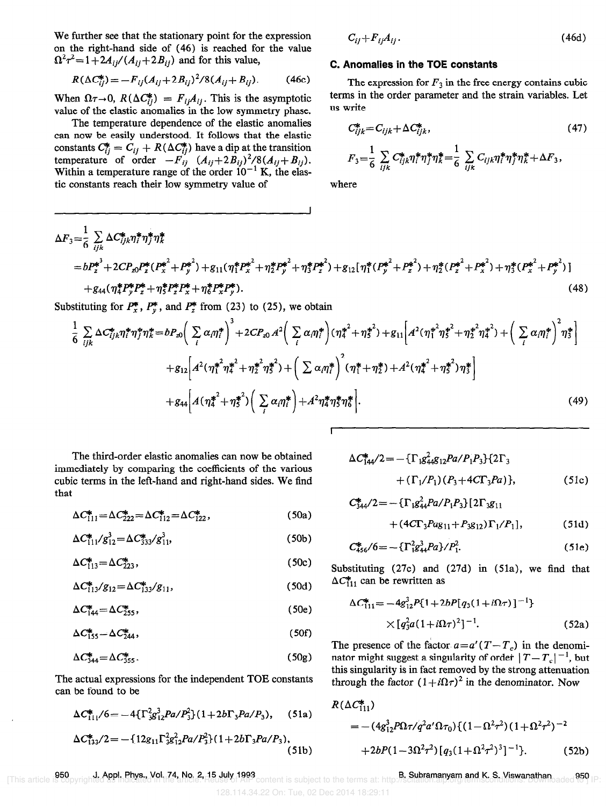We further see that the stationary point for the expression on the right-hand side of (46) is reached for the value  $f_1^2\tau^2 = 1+2A_{ij}/(A_{ij}+2B_{ij})$  and for this value,

$$
R(\Delta C_{ij}^*) = -F_{ij}(A_{ij} + 2B_{ij})^2/8(A_{ij} + B_{ij}).
$$
 (46c)

When  $\Omega \tau \rightarrow 0$ ,  $R(\Delta C_{ii}^*) = F_{ii}A_{ii}$ . This is the asymptotic value of the elastic anomalies in the low symmetry phase.

The temperature dependence of the elastic anomalies can now be easily understood. It follows that the elastic constants  $C_{ii}^* = C_{ii} + R(\Delta C_{ii}^*)$  have a dip at the transition temperature of order  $-F_{ij}$   $(A_{ij}+2B_{ij})^2/8(A_{ij}+B_{ij})$ Within a temperature range of the order  $10^{-1}$  K, the elastic constants reach their low symmetry value of

$$
C_{ij} + F_{ij}A_{ij}.
$$
 (46d)

#### C. Anomalies in the TOE constants

The expression for  $F_3$  in the free energy contains cubic terms in the order parameter and the strain variables. Let us write

$$
C_{ijk}^* = C_{ijk} + \Delta C_{ijk}^*,\tag{47}
$$

$$
F_3 = \frac{1}{6} \sum_{ijk} C_{ijk}^* \eta_i^* \eta_j^* \eta_k^* = \frac{1}{6} \sum_{ijk} C_{ijk} \eta_i^* \eta_j^* \eta_k^* + \Delta F_3,
$$

where

$$
\Delta F_3 = \frac{1}{6} \sum_{ijk} \Delta C_{ijk}^* \eta_i^* \eta_j^* \eta_k^*
$$
  
=  $b P_z^{*^3} + 2 C P_{z0} P_z^* (P_z^{*^2} + P_y^{*^2}) + g_{11} (\eta_1^* P_z^{*^2} + \eta_2^* P_y^{*^2} + \eta_3^* P_z^{*^2}) + g_{12} [\eta_1^* (P_y^{*^2} + P_z^{*^2}) + \eta_2^* (P_z^{*^2} + P_x^{*^2}) + \eta_3^* (P_z^{*^2} + P_y^{*^2})]$   
+  $g_{44} (\eta_4^* P_y^* P_z^* + \eta_3^* P_z^* P_x^* + \eta_6^* P_x^* P_y^*).$  (48)

Substituting for  $P_x^*$ ,  $P_y^*$ , and  $P_z^*$  from (23) to (25), we obtain

$$
\frac{1}{6} \sum_{ijk} \Delta C_{ijk}^* \eta_i^* \eta_j^* \eta_k^* = b P_{z0} \left( \sum_i \alpha_i \eta_i^* \right)^3 + 2 C P_{z0} A^2 \left( \sum_i \alpha_i \eta_i^* \right) (\eta_i^*^2 + \eta_5^*^2) + g_{11} \left[ A^2 (\eta_1^*^2 \eta_5^*^2 + \eta_2^*^2 \eta_4^*^2) + \left( \sum_i \alpha_i \eta_i^* \right)^2 \eta_5^* \right] + g_{12} \left[ A^2 (\eta_1^*^2 \eta_4^*^2 + \eta_2^* \eta_5^*^2) + \left( \sum_i \alpha_i \eta_i^* \right)^2 (\eta_1^* + \eta_2^*) + A^2 (\eta_4^*^2 + \eta_5^*^2) \eta_5^* \right] + g_{44} \left[ A (\eta_4^*^2 + \eta_5^*^2) \left( \sum_i \alpha_i \eta_i^* \right) + A^2 \eta_4^* \eta_5^* \eta_6^* \right].
$$
 (49)

**r** 

The third-order elastic anomalies can now be obtained immediately by comparing the coefficients of the various cubic terms in the left-hand and right-hand sides. We find that

$$
\Delta C_{111}^* = \Delta C_{222}^* = \Delta C_{112}^* = \Delta C_{122}^*,\tag{50a}
$$

$$
\Delta C_{111}^* / g_{12}^3 = \Delta C_{333}^* / g_{11}^3, \tag{50b}
$$

$$
\Delta C_{113}^* = \Delta C_{223}^*,\tag{50c}
$$

$$
\Delta C_{113}^* / g_{12} = \Delta C_{133}^* / g_{11},\tag{50d}
$$

$$
\Delta C_{144}^* = \Delta C_{255}^*,\tag{50e}
$$

$$
\Delta C_{155}^* = \Delta C_{244}^*,\tag{50f}
$$

$$
\Delta C_{344}^* = \Delta C_{355}^* \tag{50g}
$$

The actual expressions for the independent TOE constants can be found to be

$$
\Delta C_{111}^*/6 = -4\{\Gamma_3^2 g_{12}^3 Pa/P_3^2\} (1+2b\Gamma_3 Pa/P_3), \quad (51a)
$$
  

$$
\Delta C_{133}^*/2 = -\{12g_{11}\Gamma_3^2 g_{12}^2 Pa/P_3^2\} (1+2b\Gamma_3 Pa/P_3),
$$

$$
\Delta C_{144}^*/2 = -\{\Gamma_{1}g_{44}^*/2R_{12}P_{41}P_{11}P_{12}\} \{2\Gamma_3 + (\Gamma_{1}/P_{1})(P_3 + 4C\Gamma_3P_{41})\},
$$
\n(51c)

$$
C_{344}^{*}/2 = -\{\Gamma_{1}g_{44}^{2}Pa/P_{1}P_{3}\}[2\Gamma_{3}g_{11} + (4C\Gamma_{3}Pag_{11} + P_{3}g_{12})\Gamma_{1}/P_{1}],
$$
\n(51d)

$$
C_{456}^*/6 = -\{\Gamma_{184}^2 P a\}/P_1^2. \tag{51e}
$$

Substituting  $(27c)$  and  $(27d)$  in  $(51a)$ , we find that  $\Delta C_{11}^*$  can be rewritten as

$$
\Delta C_{111}^{*} = -4g_{12}^{3}P\{1+2bP[q_{3}(1+i\Omega\tau)]^{-1}\}\times [q_{3}^{2}a(1+i\Omega\tau)^{2}]^{-1}.
$$
\n(52a)

The presence of the factor  $a=a'(T-T_c)$  in the denominator might suggest a singularity of order  $|T - T_c|^{-1}$ , but this singularity is in fact removed by the strong attenuation through the factor  $(1 + i\Omega\tau)^2$  in the denominator. Now

$$
R(\Delta C_{111}^*)
$$
  
= -(4g<sub>12</sub><sup>3</sup>P $\Omega \tau$ /q<sup>2</sup>a' $\Omega \tau_0$ ){(1- $\Omega^2 \tau^2$ )(1+ $\Omega^2 \tau^2$ )<sup>-2</sup>  
+2bP(1-3 $\Omega^2 \tau^2$ )[q<sub>3</sub>(1+ $\Omega^2 \tau^2$ )<sup>3</sup>]<sup>-1</sup>}. (52b)

950 J. Appl. Phys., Vol. 74, No. 2, 15 July 1993

128.114.34.22 On: Tue, 02 Dec 2014 18:29:11

(5lb)

B. Subramanyam and K. S. Viswanathan 1. Appl. Phys., Vol. 74, No. 2, 15 July 1993 [This article is rubramanyam and K. S. Viswanathan 1950 [This article is copyrighted as indicated to ] IP: Subramanyam and K. S. Viswanathan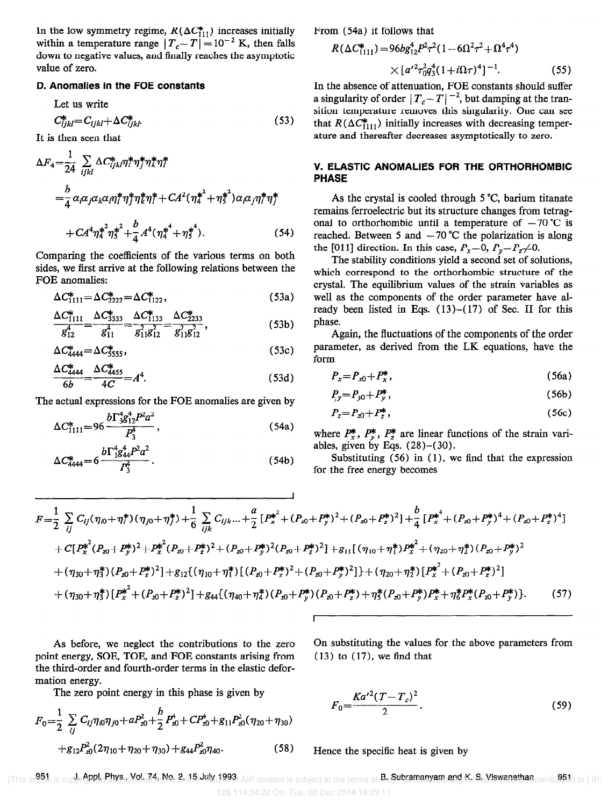In the low symmetry regime,  $R(\Delta C_{11}^*)$  increases initially within a temperature range  $|T_c-T| = 10^{-2}$  K, then falls down to negative values, and finally reaches the asymptotic value of zero.

#### D. Anomalies in the FOE constants

Let us write

$$
C_{ijkl}^* = C_{ijkl} + \Delta C_{ijkl}^* \tag{53}
$$

It is then seen that

$$
\Delta F_4 = \frac{1}{24} \sum_{ijkl} \Delta C_{ijkl}^* \eta_i^* \eta_j^* \eta_k^* \eta_l^* \qquad \n= \frac{b}{4} \alpha_i \alpha_j \alpha_k \alpha_i \eta_i^* \eta_j^* \eta_k^* \eta_l^* + C A^2 (\eta_i^*^2 + \eta_i^*^2) \alpha_i \alpha_j \eta_l^* \eta_j^* \n+ C A^4 \eta_i^* \eta_j^*^2 + \frac{b}{4} A^4 (\eta_i^* + \eta_i^*^4).
$$
\n(54)

Comparing the coefhcients of the various terms on both sides, we first arrive at the following relations between the FOE anomalies:

$$
\Delta C_{1111}^* = \Delta C_{2222}^* = \Delta C_{1122}^*,\tag{53a}
$$

$$
\frac{\Delta C_{1111}^*}{g_{12}^4} = \frac{\Delta C_{3333}^*}{g_{11}^4} = \frac{\Delta C_{1133}^*}{g_{11}^2 g_{12}^2} = \frac{\Delta C_{2233}^*}{g_{11}^2 g_{12}^2},
$$
\n(53b)

$$
\Delta C_{4444}^* = \Delta C_{5555}^*,\tag{53c}
$$

$$
\frac{\Delta C_{4444}^*}{6b} = \frac{\Delta C_{4455}^*}{4C} = A^4.
$$
\n(53d)

The actual expressions for the FOE anomalies are given by

$$
\Delta C_{1111}^* = 96 \frac{b \Gamma_{3}^* g_{12}^* P^2 a^2}{P_3^4},\tag{54a}
$$

$$
\Delta C_{4444}^{*} = 6 \frac{b \Gamma_{15}^{4} a_{44}^{4} P^{2} a^{2}}{P_{3}^{4}}.
$$
 (54b)

From (54a) it follows that

$$
R(\Delta C_{1111}^*) = 96bg_{12}^4P^2\tau^2(1 - 6\Omega^2\tau^2 + \Omega^4\tau^4)
$$
  
 
$$
\times [a^{\prime 2}\tau_{0}^2q_3^4(1 + i\Omega\tau)^4]^{-1}.
$$
 (55)

In the absence of attenuation, FOE constants should suffer a singularity of order  $|T_c-T|^{-2}$ , but damping at the transition temperature removes this singularity. One can see that  $R(\Delta C_{111}^*)$  initially increases with decreasing temperature and thereafter decreases asymptotically to zero.

### V. ELASTIC ANOMALlES FOR THE ORTHORHOMBIC PHASE

As the crystal is cooled through  $5^{\circ}C$ , barium titanate remains ferroelectric but its structure changes from tetragonal to orthorhombic until a temperature of  $-70$  °C is reached. Between 5 and  $-70$  °C the polarization is along the [011] direction. In this case,  $P_x=0$ ,  $P_y=P_z\neq0$ .

The stability conditions yield a second set of solutions, which correspond to the orthorhombic structure of the crystal. The equilibrium values of the strain variables as well as the components of the order parameter have already been listed in Eqs. (13)-( 17) of Sec. II for this phase.

Again, the fluctuations of the components of the order parameter, as derived from the LK equations, have the form

$$
P_x = P_{x0} + P_x^*,\tag{56a}
$$

$$
P_{\nu} = P_{\nu 0} + P_{\nu}^*,\tag{56b}
$$

$$
P_z = P_{z0} + P_z^*,\tag{56c}
$$

where  $P_x^*$ ,  $P_y^*$ ,  $P_z^*$  are linear functions of the strain variables, given by Eqs.  $(28)-(30)$ .

Substituting  $(56)$  in  $(1)$ , we find that the expression for the free energy becomes

$$
F = \frac{1}{2} \sum_{ij} C_{ij} (\eta_{i0} + \eta_{i}^{*}) (\eta_{j0} + \eta_{j}^{*}) + \frac{1}{6} \sum_{ijk} C_{ijk} ... + \frac{a}{2} [P_{x}^{*^{2}} + (P_{x0} + P_{y}^{*})^{2} + (P_{x0} + P_{z}^{*})^{2}] + \frac{b}{4} [P_{x}^{*^{4}} + (P_{x0} + P_{y}^{*})^{4} + (P_{x0} + P_{z}^{*})^{4}]
$$
  
+ 
$$
C [P_{x}^{*^{2}} (P_{x0} + P_{y}^{*})^{2} + P_{x}^{*^{2}} (P_{x0} + P_{z}^{*})^{2} + (P_{x0} + P_{y}^{*})^{2} (P_{x0} + P_{z}^{*})^{2}] + g_{11} [(\eta_{10} + \eta_{1}^{*}) P_{x}^{*^{2}} + (\eta_{20} + \eta_{2}^{*}) (P_{x0} + P_{y}^{*})^{2}
$$
  
+ 
$$
(\eta_{30} + \eta_{3}^{*}) (P_{x0} + P_{z}^{*})^{2}] + g_{12} [(\eta_{10} + \eta_{1}^{*}) [(P_{x0} + P_{z}^{*})^{2} + (P_{x0} + P_{y}^{*})^{2}] + (\eta_{20} + \eta_{2}^{*}) [P_{x}^{*^{2}} + (P_{x0} + P_{z}^{*})^{2}]
$$
  
+ 
$$
(\eta_{30} + \eta_{3}^{*}) [P_{x}^{*^{2}} + (P_{x0} + P_{z}^{*})^{2}] + g_{44} [(\eta_{40} + \eta_{4}^{*}) (P_{x0} + P_{y}^{*}) (P_{x0} + P_{z}^{*}) + \eta_{3}^{*} (P_{x0} + P_{y}^{*}) P_{x}^{*} + \eta_{6}^{*} P_{x}^{*} (P_{x0} + P_{y}^{*})].
$$
 (57)

I

point energy, SOE, TOE, and FOE constants arising from (13) to (17), we find that the third-order and fourth-order terms in the elastic deformation energy.

The zero point energy in this phase is given by

$$
F_0 = \frac{1}{2} \sum_{ij} C_{ij} \eta_{i0} \eta_{j0} + a P_{z0}^2 + \frac{b}{2} P_{z0}^4 + C P_{z0}^4 + g_{11} P_{z0}^2 (\eta_{20} + \eta_{30})
$$
  
+  $g_{12} P_{z0}^2 (2 \eta_{10} + \eta_{20} + \eta_{30}) + g_{44} P_{z0}^2 \eta_{40}.$  (58)

As before, we neglect the contributions to the zero On substituting the values for the above parameters from

$$
F_0 = \frac{Ka'^2(T - T_c)^2}{2}.
$$
\n(59)

Hence the specific heat is given by

[This art<sup>51</sup>] is copyrighed Physid(21a) No. 2rt15. We 1993; AIP content is subject to the terms at: PrttSubramanyam, and Kers. Viswanathan ownloaded to ] IP: 128.114.34.22 On: Tue, 02 Dec 2014 18:29:11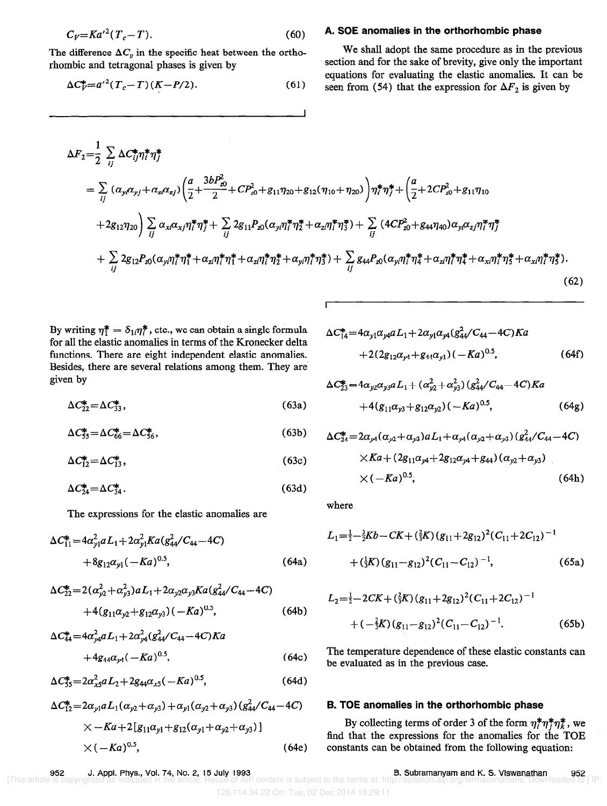$$
C_V = Ka'^2(T_c - T). \tag{60}
$$

The difference  $\Delta C_v$  in the specific heat between the orthorhombic and tetragonal phases is given by

$$
\Delta C_V^* = a'^2 (T_c - T) (K - P/2). \tag{61}
$$

#### A. SOE anomalies in the orthorhombic phase

We shall adopt the same procedure as in the previous section and for the sake of brevity, give only the important equations for evaluating the elastic anomalies. It can be seen from (54) that the expression for  $\Delta F_2$  is given by

$$
\Delta F_{2} = \frac{1}{2} \sum_{ij} \Delta C_{ij}^{*} \eta_{i}^{*} \eta_{j}^{*}
$$
\n
$$
= \sum_{ij} (\alpha_{yi} \alpha_{yj} + \alpha_{zi} \alpha_{zj}) \left( \frac{a}{2} + \frac{3bP_{z0}^{2}}{2} + CP_{z0}^{2} + g_{11} \eta_{20} + g_{12} (\eta_{10} + \eta_{20}) \right) \eta_{i}^{*} \eta_{j}^{*} + \left( \frac{a}{2} + 2CP_{z0}^{2} + g_{11} \eta_{10} + 2g_{12} \eta_{20} \right) \sum_{ij} \alpha_{xi} \alpha_{xj} \eta_{i}^{*} \eta_{j}^{*} + \sum_{ij} 2g_{11} P_{z0} (\alpha_{yi} \eta_{i}^{*} \eta_{j}^{*} + \alpha_{zi} \eta_{i}^{*} \eta_{j}^{*}) + \sum_{ij} (4CP_{z0}^{2} + g_{44} \eta_{40}) \alpha_{yi} \alpha_{zj} \eta_{i}^{*} \eta_{j}^{*} + \sum_{ij} 2g_{12} P_{z0} (\alpha_{yi} \eta_{i}^{*} \eta_{j}^{*} + \alpha_{zi} \eta_{i}^{*} \eta_{j}^{*} + \alpha_{zi} \eta_{i}^{*} \eta_{j}^{*} + \alpha_{zi} \eta_{i}^{*} \eta_{j}^{*} + \alpha_{yi} \eta_{i}^{*} \eta_{j}^{*}) + \sum_{ij} g_{44} P_{z0} (\alpha_{yi} \eta_{i}^{*} \eta_{i}^{*} + \alpha_{zi} \eta_{i}^{*} \eta_{j}^{*} + \alpha_{xi} \eta_{i}^{*} \eta_{j}^{*}).
$$
\n(62)

By writing  $\eta_1^* = \delta_{1i}\eta_i^*$ , etc., we can obtain a single formula for all the elastic anomalies in terms of the Kronecker delta functions. There are eight independent elastic anomalies. Besides, there are several relations among them. They are

$$
\Delta C_{22}^* = \Delta C_{33}^*,\tag{63a}
$$

$$
\Delta C_{55}^* = \Delta C_{66}^* = \Delta C_{56}^*,\tag{63b}
$$

$$
\Delta C_{12}^* = \Delta C_{13}^*,\tag{63c}
$$

$$
\Delta C_{24}^* = \Delta C_{34}^* \tag{63d}
$$

where The expressions for the elastic anomalies are

$$
\Delta C_{11}^* = 4\alpha_{y1}^2 a L_1 + 2\alpha_{y1}^2 K a (g_{44}^2 / C_{44} - 4C) + 8g_{12}\alpha_{y1} (-Ka)^{0.5},
$$
 (64a)

$$
\Delta C_{22}^{*} = 2(\alpha_{y2}^{2} + \alpha_{y3}^{2}) a L_{1} + 2\alpha_{y2}\alpha_{y3}Ka(g_{44}^{2}/C_{44} - 4C) + 4(g_{11}\alpha_{y2} + g_{12}\alpha_{y3})(-Ka)^{0.5},
$$
 (64b)

$$
\Delta C_{44}^* = 4\alpha_{y4}^2 a L_1 + 2\alpha_{y4}^2 (g_{44}^2 / C_{44} - 4C)Ka
$$
  
+4g\_{44}\alpha\_{y4} (-Ka)^{0.5}, \t(64c)

$$
\Delta C_{55}^* = 2\alpha_{x5}^2 a L_2 + 2g_{44} \alpha_{x5} (-Ka)^{0.5}, \tag{64d}
$$

$$
\Delta C_{12}^* = 2\alpha_{y1} a L_1(\alpha_{y2} + \alpha_{y3}) + \alpha_{y1}(\alpha_{y2} + \alpha_{y3}) (g_{44}^2/C_{44} - 4C)
$$
  
× - Ka + 2[g\_{11}\alpha\_{y1} + g\_{12}(\alpha\_{y1} + \alpha\_{y2} + \alpha\_{y3})]  
× (-Ka)^{0.5}, \t(64e)

$$
\Delta C_{14}^{*} = 4\alpha_{y1}\alpha_{y4}aL_{1} + 2\alpha_{y1}\alpha_{y4}(g_{44}^{2}/C_{44} - 4C)Ka
$$
  
+2(2g\_{12}\alpha\_{y4} + g\_{44}\alpha\_{y1}) (-Ka)^{0.5}, \t(64f)

given by  
\n
$$
\Delta C_{23}^* = 4\alpha_{y2}\alpha_{y3}aL_1 + (\alpha_{y2}^2 + \alpha_{y3}^2)(g_{44}^2/C_{44} - 4C)Ka
$$
\n
$$
\Delta C_{22}^* = \Delta C_{33}^*,
$$
\n(63a) 
$$
+ 4(g_{11}\alpha_{y3} + g_{12}\alpha_{y2})(-Ka)^{0.5},
$$
\n(64g)

$$
\Delta C_{24}^{*} = 2\alpha_{y4}(\alpha_{y2} + \alpha_{y3})aL_{1} + \alpha_{y4}(\alpha_{y2} + \alpha_{y3})(g_{44}^{2}/C_{44} - 4C)
$$
  
×*Ka* + (2*g*<sub>11</sub>*\alpha*<sub>y4</sub> + 2*g*<sub>12</sub>*\alpha*<sub>y4</sub> + *g*<sub>44</sub>) ( $\alpha_{y2} + \alpha_{y3}$ )  
×*(* - *Ka*)<sup>0.5</sup>, (64h)

$$
L_1 = \frac{1}{2} - \frac{3}{2}Kb - CK + (\frac{2}{3}K)(g_{11} + 2g_{12})^2(C_{11} + 2C_{12})^{-1}
$$
  
(64a) 
$$
+ (\frac{1}{3}K)(g_{11} - g_{12})^2(C_{11} - C_{12})^{-1},
$$
 (65a)

$$
L_2 = \frac{1}{2} - 2CK + (\frac{2}{3}K)(g_{11} + 2g_{12})^2 (C_{11} + 2C_{12})^{-1}
$$
  
+ 
$$
(-\frac{2}{3}K)(g_{11} - g_{12})^2 (C_{11} - C_{12})^{-1}.
$$
 (65b)

The temperature dependence of these elastic constants can be evaluated as in the previous case.

#### B. TOE anomalies in the orthorhombic phase

By collecting terms of order 3 of the form  $\eta_i^* \eta_j^* \eta_k^*$ , we find that the expressions for the anomalies for the TOE constants can be obtained from the following equation: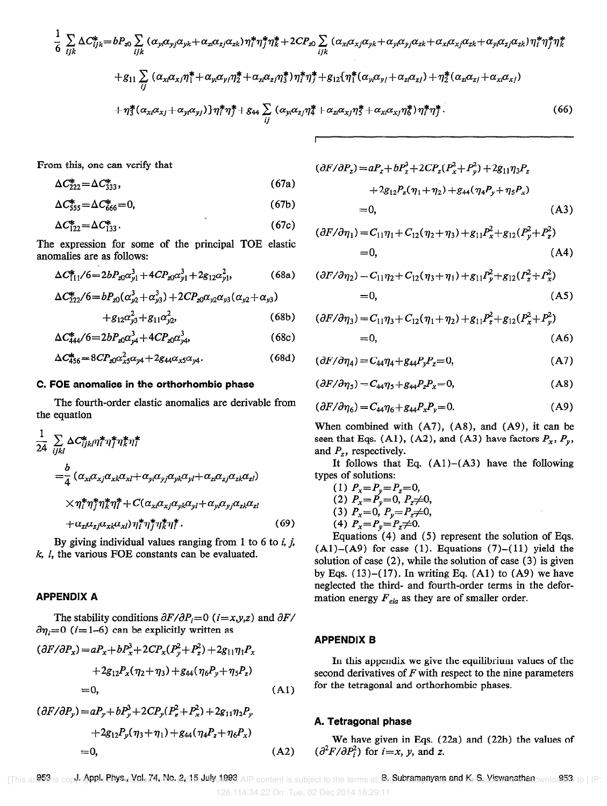$$
\frac{1}{6} \sum_{ijk} \Delta C_{ijk}^{*} = bP_{x0} \sum_{ijk} (\alpha_{yi}\alpha_{yj}\alpha_{yk} + \alpha_{zi}\alpha_{zj}\alpha_{zk}) \eta_{i}^{*} \eta_{j}^{*} \eta_{k}^{*} + 2CP_{x0} \sum_{ijk} (\alpha_{xi}\alpha_{xj}\alpha_{yk} + \alpha_{yi}\alpha_{yj}\alpha_{zk} + \alpha_{xi}\alpha_{xj}\alpha_{zk} + \alpha_{yi}\alpha_{zj}\alpha_{zk}) \eta_{i}^{*} \eta_{j}^{*} \eta_{k}^{*}
$$

$$
+ g_{11} \sum_{ij} (\alpha_{xi}\alpha_{xj}\eta_{i}^{*} + \alpha_{yi}\alpha_{yj}\eta_{2}^{*} + \alpha_{zi}\alpha_{zj}\eta_{i}^{*}) \eta_{i}^{*} \eta_{j}^{*} + g_{12} \{\eta_{i}^{*}(\alpha_{yi}\alpha_{yj} + \alpha_{zi}\alpha_{zj}) + \eta_{2}^{*}(\alpha_{zi}\alpha_{zj} + \alpha_{xi}\alpha_{xj})
$$

$$
+ \eta_{3}^{*}(\alpha_{xi}\alpha_{xj} + \alpha_{yi}\alpha_{yj}) \eta_{i}^{*} \eta_{j}^{*} + g_{44} \sum_{ij} (\alpha_{yi}\alpha_{zj}\eta_{4}^{*} + \alpha_{zi}\alpha_{xj}\eta_{5}^{*} + \alpha_{xi}\alpha_{xj}\eta_{i}^{*}) \eta_{i}^{*} \eta_{j}^{*}. \tag{66}
$$

r

From this, one can verify that

$$
\Delta C_{222}^* = \Delta C_{333}^*,\tag{67a}
$$

$$
\Delta C_{555}^* = \Delta C_{666}^* = 0, \tag{67b}
$$

$$
\Delta C_{122}^* = \Delta C_{133}^* \tag{67c}
$$

The expression for some of the principal TOE elastic anomalies are as follows:

$$
\Delta C_{111}^*/6 = 2bP_{x0}\alpha_{y1}^3 + 4CP_{x0}\alpha_{y1}^3 + 2g_{12}\alpha_{y1}^2, \tag{68a}
$$

$$
\begin{aligned} \Delta C_{222}^* / 6 &= b P_{20} (\alpha_{y2}^3 + \alpha_{y3}^3) + 2 C P_{20} \alpha_{y2} \alpha_{y3} (\alpha_{y2} + \alpha_{y3}) \\ &+ g_{12} \alpha_{y3}^2 + g_{11} \alpha_{y2}^2, \end{aligned} \tag{68b}
$$

$$
\Delta C_{444}^* / 6 = 2b P_{20} \alpha_{y4}^3 + 4C P_{20} \alpha_{y4}^3, \tag{68c}
$$

$$
\Delta C_{456}^* = 8CP_{x0} \alpha_{x5}^2 \alpha_{y4} + 2g_{44} \alpha_{x5} \alpha_{y4}.
$$
 (68d)

#### C. FOE anomalies in the orthorhombic phase

The fourth-order elastic anomalies are derivable from the equation

$$
\frac{1}{24} \sum_{ijkl} \Delta C_{ijkl}^* \eta_i^* \eta_i^* \eta_i^* \eta_i^*
$$
\n
$$
= \frac{b}{4} (\alpha_{xi} \alpha_{xj} \alpha_{xk} \alpha_{xl} + \alpha_{yi} \alpha_{yj} \alpha_{yk} \alpha_{yl} + \alpha_{zi} \alpha_{zj} \alpha_{zk} \alpha_{zl})
$$
\n
$$
\times \eta_i^* \eta_j^* \eta_k^* \eta_i^* + C(\alpha_{xi} \alpha_{xj} \alpha_{yk} \alpha_{yl} + \alpha_{yi} \alpha_{yj} \alpha_{zk} \alpha_{zl})
$$
\n
$$
+ \alpha_{zi} \alpha_{zj} \alpha_{xk} \alpha_{xl}) \eta_i^* \eta_j^* \eta_k^* \eta_i^*.
$$
\n(69)

By giving individual values ranging from 1 to 6 to  $i$ ,  $j$ ,  $k$ ,  $l$ , the various FOE constants can be evaluated.

## APPENDIX A

The stability conditions  $\partial F/\partial P_i = 0$  (*i*=*x*,*y*,*z*) and  $\partial F$ /  $\partial \eta_i = 0$  (*i*=1-6) can be explicitly written as

$$
(\partial F/\partial P_x) = aP_x + bP_x^3 + 2CP_x(P_y^2 + P_z^2) + 2g_{11}\eta_1 P_x
$$
  
+2g\_{12}P\_x(\eta\_2 + \eta\_3) + g\_{44}(\eta\_6 P\_y + \eta\_5 P\_z)  
= 0, (A1)

$$
(\partial F/\partial P_y) = aP_y + bP_y + 2CP_y(P_z + P_x) + 2g_{11}\eta_2 P_y
$$
  
+2g\_{12}P\_y(\eta\_3 + \eta\_1) + g\_{44}(\eta\_4 P\_z + \eta\_6 P\_x)  
= 0, (A2)

$$
(\partial F/\partial P_z) = aP_z + bP_z^3 + 2CP_z(P_x^2 + P_y^2) + 2g_{11}\eta_3 P_z
$$
  
+ 2g\_{12}P\_z(\eta\_1 + \eta\_2) + g\_{44}(\eta\_4 P\_y + \eta\_5 P\_x)  
= 0, (A3)

$$
(\partial F/\partial \eta_1) = C_{11}\eta_1 + C_{12}(\eta_2 + \eta_3) + g_{11}P_x^2 + g_{12}(P_y^2 + P_z^2)
$$
  
= 0, (A4)

$$
(\partial F/\partial \eta_2) = C_{11}\eta_2 + C_{12}(\eta_3 + \eta_1) + g_{11}P_y^2 + g_{12}(P_z^2 + P_x^2)
$$
  
= 0, (A5)

$$
(\partial F/\partial \eta_3) = C_{11}\eta_3 + C_{12}(\eta_1 + \eta_2) + g_{11}P_z^2 + g_{12}(P_x^2 + P_y^2)
$$
  
= 0, (A6)

$$
(\partial F/\partial \eta_4) = C_{44}\eta_4 + g_{44}P_yP_z = 0, \tag{A7}
$$

$$
(\partial F/\partial \eta_5) = C_{44}\eta_5 + g_{44}P_zP_x = 0,
$$
 (A8)

$$
(\partial F/\partial \eta_6) = C_{44}\eta_6 + g_{44}P_xP_y = 0.
$$
 (A9)

When combined with (A7), (A8), and (A9), it can be seen that Eqs. (A1), (A2), and (A3) have factors  $P_x$ ,  $P_y$ , and  $P_z$ , respectively.

It follows that Eq.  $(A1)$ – $(A3)$  have the following types of solutions:

(1) 
$$
P_x = P_y = P_z = 0
$$
,  
\n(2)  $P_x = P_y = 0$ ,  $P_z \neq 0$ ,  
\n(3)  $P_x = 0$ ,  $P_y = P_z \neq 0$ ,  
\n(4)  $P_x = P_y = P_z \neq 0$ .

Equations (4) and (5) represent the solution of Eqs.  $(A1)$ - $(A9)$  for case (1). Equations (7)- $(11)$  yield the solution of case (2), while the solution of case (3) is given by Eqs.  $(13)-(17)$ . In writing Eq.  $(A1)$  to  $(A9)$  we have neglected the third- and fourth-order terms in the deformation energy  $F_{ela}$  as they are of smaller order.

#### APPENDIX B

In this appendix we give the equilibrium values of the second derivatives of  $F$  with respect to the nine parameters for the tetragonal and orthorhombic phases.

#### A. Tetragonal phase

We have given in Eqs. (22a) and (22b) the values of  $(\partial^2 F/\partial P_i^2)$  for  $i=x$ , y, and z.

[This ar**953 is copyrionPlu Phys...Nol. 74, No. 2., 15 July 1993** AIP content is subject to the terms at: **B⊪Subramanyam and K. S. Viswanathan**ownlo.953 to ] IP: 128.114.34.22 On: Tue, 02 Dec 2014 18:29:11